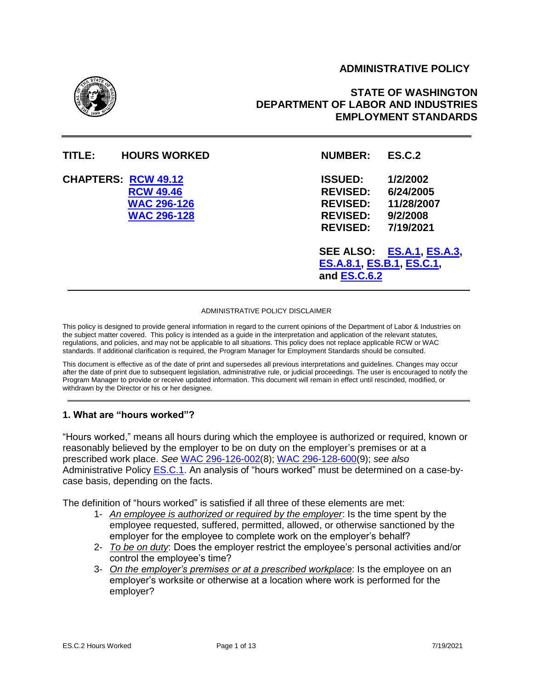## **ADMINISTRATIVE POLICY**



# **STATE OF WASHINGTON DEPARTMENT OF LABOR AND INDUSTRIES EMPLOYMENT STANDARDS**

| TITLE:                     | <b>HOURS WORKED</b>                                          | <b>NUMBER:</b>                                                                                                                          | <b>ES.C.2</b>                                                                             |
|----------------------------|--------------------------------------------------------------|-----------------------------------------------------------------------------------------------------------------------------------------|-------------------------------------------------------------------------------------------|
| <b>CHAPTERS: RCW 49.12</b> | <b>RCW 49.46</b><br><b>WAC 296-126</b><br><b>WAC 296-128</b> | <b>ISSUED:</b><br><b>REVISED:</b><br><b>REVISED:</b><br><b>REVISED:</b><br><b>REVISED:</b><br>ES.A.8.1, ES.B.1, ES.C.1,<br>and ES.C.6.2 | 1/2/2002<br>6/24/2005<br>11/28/2007<br>9/2/2008<br>7/19/2021<br>SEE ALSO: ES.A.1, ES.A.3, |
|                            |                                                              |                                                                                                                                         |                                                                                           |

#### ADMINISTRATIVE POLICY DISCLAIMER

This policy is designed to provide general information in regard to the current opinions of the Department of Labor & Industries on the subject matter covered. This policy is intended as a guide in the interpretation and application of the relevant statutes, regulations, and policies, and may not be applicable to all situations. This policy does not replace applicable RCW or WAC standards. If additional clarification is required, the Program Manager for Employment Standards should be consulted.

This document is effective as of the date of print and supersedes all previous interpretations and guidelines. Changes may occur after the date of print due to subsequent legislation, administrative rule, or judicial proceedings. The user is encouraged to notify the Program Manager to provide or receive updated information. This document will remain in effect until rescinded, modified, or withdrawn by the Director or his or her designee.

#### **1. What are "hours worked"?**

"Hours worked," means all hours during which the employee is authorized or required, known or reasonably believed by the employer to be on duty on the employer's premises or at a prescribed work place. *See* [WAC 296-126-002\(8\);](http://apps.leg.wa.gov/WAC/default.aspx?cite=296-126-002) [WAC 296-128-600\(9\);](https://apps.leg.wa.gov/WAC/default.aspx?cite=296-128-600) *see also* [Administrative Policy ES.C.1.](https://lni.wa.gov/workers-rights/_docs/esc1.pdf) An analysis of "hours worked" must be determined on a case-bycase basis, depending on the facts.

The definition of "hours worked" is satisfied if all three of these elements are met:

- 1- *An employee is authorized or required by the employer*: Is the time spent by the employee requested, suffered, permitted, allowed, or otherwise sanctioned by the employer for the employee to complete work on the employer's behalf?
- 2- *To be on duty*: Does the employer restrict the employee's personal activities and/or control the employee's time?
- 3- *On the employer's premises or at a prescribed workplace*: Is the employee on an employer's worksite or otherwise at a location where work is performed for the employer?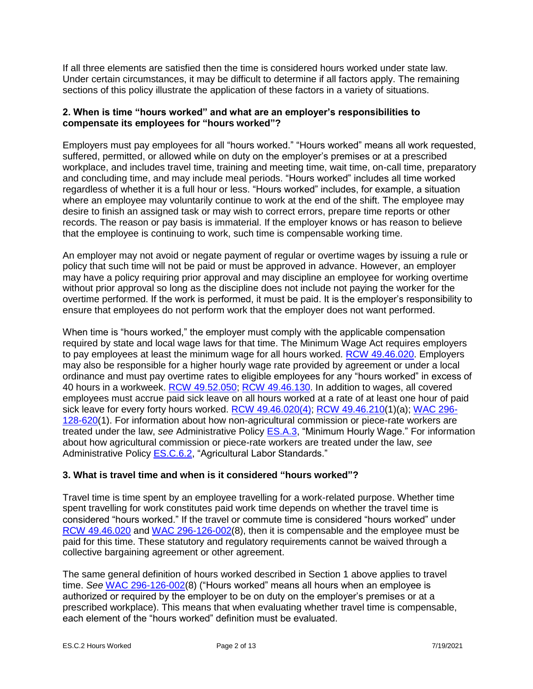If all three elements are satisfied then the time is considered hours worked under state law. Under certain circumstances, it may be difficult to determine if all factors apply. The remaining sections of this policy illustrate the application of these factors in a variety of situations.

## **2. When is time "hours worked" and what are an employer's responsibilities to compensate its employees for "hours worked"?**

Employers must pay employees for all "hours worked." "Hours worked" means all work requested, suffered, permitted, or allowed while on duty on the employer's premises or at a prescribed workplace, and includes travel time, training and meeting time, wait time, on-call time, preparatory and concluding time, and may include meal periods. "Hours worked" includes all time worked regardless of whether it is a full hour or less. "Hours worked" includes, for example, a situation where an employee may voluntarily continue to work at the end of the shift. The employee may desire to finish an assigned task or may wish to correct errors, prepare time reports or other records. The reason or pay basis is immaterial. If the employer knows or has reason to believe that the employee is continuing to work, such time is compensable working time.

An employer may not avoid or negate payment of regular or overtime wages by issuing a rule or policy that such time will not be paid or must be approved in advance. However, an employer may have a policy requiring prior approval and may discipline an employee for working overtime without prior approval so long as the discipline does not include not paying the worker for the overtime performed. If the work is performed, it must be paid. It is the employer's responsibility to ensure that employees do not perform work that the employer does not want performed.

When time is "hours worked," the employer must comply with the applicable compensation required by state and local wage laws for that time. The Minimum Wage Act requires employers to pay employees at least the minimum wage for all hours worked. [RCW 49.46.020.](https://app.leg.wa.gov/rcw/default.aspx?cite=49.46.020) Employers may also be responsible for a higher hourly wage rate provided by agreement or under a local ordinance and must pay overtime rates to eligible employees for any "hours worked" in excess of 40 hours in a workweek. [RCW 49.52.050;](https://app.leg.wa.gov/rcw/default.aspx?cite=49.52.050) [RCW 49.46.130.](https://apps.leg.wa.gov/rCW/default.aspx?cite=49.46.130) In addition to wages, all covered employees must accrue paid sick leave on all hours worked at a rate of at least one hour of paid sick leave for every forty hours worked. [RCW 49.46.020\(](https://app.leg.wa.gov/rcw/default.aspx?cite=49.46.020)4); RCW 49.46.210(1)(a); [WAC 296-](https://app.leg.wa.gov/wac/default.aspx?cite=296-128-620) [128-620\(](https://app.leg.wa.gov/wac/default.aspx?cite=296-128-620)1). For information about how non-agricultural commission or piece-rate workers are treated under the law, *see* Administrative Policy [ES.A.3,](https://lni.wa.gov/workers-rights/_docs/esa3.pdf) "Minimum Hourly Wage." For information about how agricultural commission or piece-rate workers are treated under the law, *see* Administrative Policy **ES.C.6.2**, "Agricultural Labor Standards."

## **3. What is travel time and when is it considered "hours worked"?**

Travel time is time spent by an employee travelling for a work-related purpose. Whether time spent travelling for work constitutes paid work time depends on whether the travel time is considered "hours worked." If the travel or commute time is considered "hours worked" under [RCW 49.46.020](http://app.leg.wa.gov/rcw/default.aspx?cite=49.46.020) and [WAC 296-126-002\(8\),](https://app.leg.wa.gov/wac/default.aspx?cite=296-126-002) then it is compensable and the employee must be paid for this time. These statutory and regulatory requirements cannot be waived through a collective bargaining agreement or other agreement.

The same general definition of hours worked described in Section 1 above applies to travel time. *See* [WAC 296-126-002\(8\)](https://app.leg.wa.gov/wac/default.aspx?cite=296-126-002) ("Hours worked" means all hours when an employee is authorized or required by the employer to be on duty on the employer's premises or at a prescribed workplace). This means that when evaluating whether travel time is compensable, each element of the "hours worked" definition must be evaluated.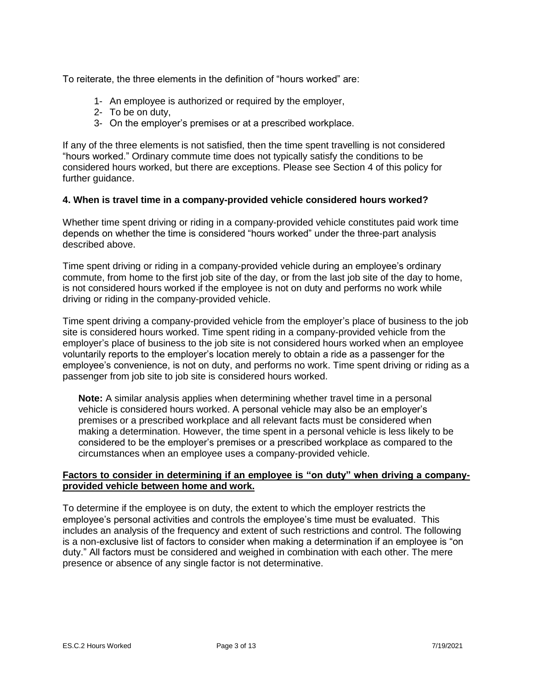To reiterate, the three elements in the definition of "hours worked" are:

- 1- An employee is authorized or required by the employer,
- 2- To be on duty,
- 3- On the employer's premises or at a prescribed workplace.

If any of the three elements is not satisfied, then the time spent travelling is not considered "hours worked." Ordinary commute time does not typically satisfy the conditions to be considered hours worked, but there are exceptions. Please see Section 4 of this policy for further guidance.

## **4. When is travel time in a company-provided vehicle considered hours worked?**

Whether time spent driving or riding in a company-provided vehicle constitutes paid work time depends on whether the time is considered "hours worked" under the three-part analysis described above.

Time spent driving or riding in a company-provided vehicle during an employee's ordinary commute, from home to the first job site of the day, or from the last job site of the day to home, is not considered hours worked if the employee is not on duty and performs no work while driving or riding in the company-provided vehicle.

Time spent driving a company-provided vehicle from the employer's place of business to the job site is considered hours worked. Time spent riding in a company-provided vehicle from the employer's place of business to the job site is not considered hours worked when an employee voluntarily reports to the employer's location merely to obtain a ride as a passenger for the employee's convenience, is not on duty, and performs no work. Time spent driving or riding as a passenger from job site to job site is considered hours worked.

**Note:** A similar analysis applies when determining whether travel time in a personal vehicle is considered hours worked. A personal vehicle may also be an employer's premises or a prescribed workplace and all relevant facts must be considered when making a determination. However, the time spent in a personal vehicle is less likely to be considered to be the employer's premises or a prescribed workplace as compared to the circumstances when an employee uses a company-provided vehicle.

#### **Factors to consider in determining if an employee is "on duty" when driving a companyprovided vehicle between home and work.**

To determine if the employee is on duty, the extent to which the employer restricts the employee's personal activities and controls the employee's time must be evaluated. This includes an analysis of the frequency and extent of such restrictions and control. The following is a non-exclusive list of factors to consider when making a determination if an employee is "on duty." All factors must be considered and weighed in combination with each other. The mere presence or absence of any single factor is not determinative.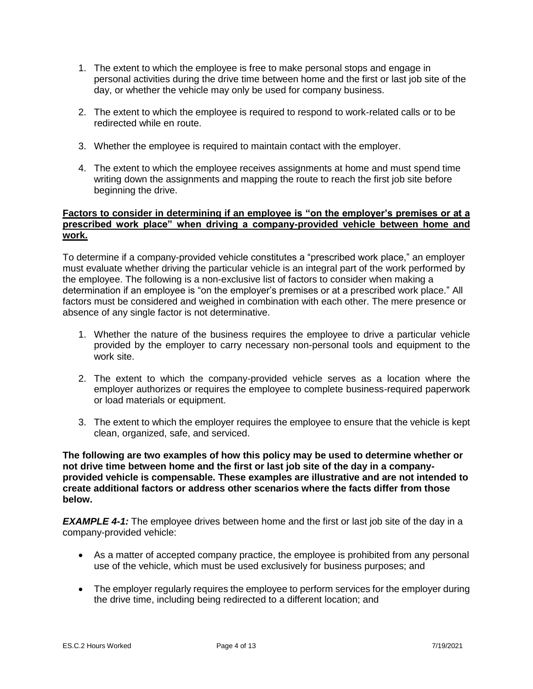- 1. The extent to which the employee is free to make personal stops and engage in personal activities during the drive time between home and the first or last job site of the day, or whether the vehicle may only be used for company business.
- 2. The extent to which the employee is required to respond to work-related calls or to be redirected while en route.
- 3. Whether the employee is required to maintain contact with the employer.
- 4. The extent to which the employee receives assignments at home and must spend time writing down the assignments and mapping the route to reach the first job site before beginning the drive.

## **Factors to consider in determining if an employee is "on the employer's premises or at a prescribed work place" when driving a company-provided vehicle between home and work.**

To determine if a company-provided vehicle constitutes a "prescribed work place," an employer must evaluate whether driving the particular vehicle is an integral part of the work performed by the employee. The following is a non-exclusive list of factors to consider when making a determination if an employee is "on the employer's premises or at a prescribed work place." All factors must be considered and weighed in combination with each other. The mere presence or absence of any single factor is not determinative.

- 1. Whether the nature of the business requires the employee to drive a particular vehicle provided by the employer to carry necessary non-personal tools and equipment to the work site.
- 2. The extent to which the company-provided vehicle serves as a location where the employer authorizes or requires the employee to complete business-required paperwork or load materials or equipment.
- 3. The extent to which the employer requires the employee to ensure that the vehicle is kept clean, organized, safe, and serviced.

**The following are two examples of how this policy may be used to determine whether or not drive time between home and the first or last job site of the day in a companyprovided vehicle is compensable. These examples are illustrative and are not intended to create additional factors or address other scenarios where the facts differ from those below.**

**EXAMPLE 4-1:** The employee drives between home and the first or last job site of the day in a company-provided vehicle:

- As a matter of accepted company practice, the employee is prohibited from any personal use of the vehicle, which must be used exclusively for business purposes; and
- The employer regularly requires the employee to perform services for the employer during the drive time, including being redirected to a different location; and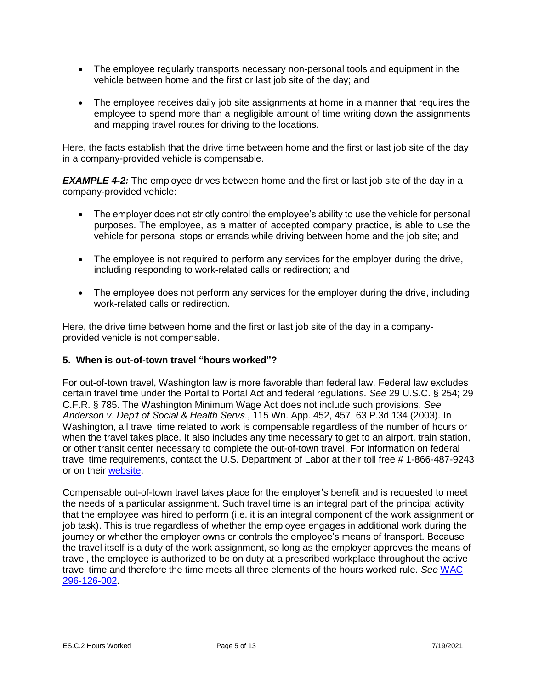- The employee regularly transports necessary non-personal tools and equipment in the vehicle between home and the first or last job site of the day; and
- The employee receives daily job site assignments at home in a manner that requires the employee to spend more than a negligible amount of time writing down the assignments and mapping travel routes for driving to the locations.

Here, the facts establish that the drive time between home and the first or last job site of the day in a company-provided vehicle is compensable.

*EXAMPLE 4-2:* The employee drives between home and the first or last job site of the day in a company-provided vehicle:

- The employer does not strictly control the employee's ability to use the vehicle for personal purposes. The employee, as a matter of accepted company practice, is able to use the vehicle for personal stops or errands while driving between home and the job site; and
- The employee is not required to perform any services for the employer during the drive, including responding to work-related calls or redirection; and
- The employee does not perform any services for the employer during the drive, including work-related calls or redirection.

Here, the drive time between home and the first or last job site of the day in a companyprovided vehicle is not compensable.

## **5. When is out-of-town travel "hours worked"?**

For out-of-town travel, Washington law is more favorable than federal law. Federal law excludes certain travel time under the Portal to Portal Act and federal regulations. *See* 29 U.S.C. § 254; 29 C.F.R. § 785. The Washington Minimum Wage Act does not include such provisions. *See Anderson v. Dep't of Social & Health Servs.*, 115 Wn. App. 452, 457, 63 P.3d 134 (2003). In Washington, all travel time related to work is compensable regardless of the number of hours or when the travel takes place. It also includes any time necessary to get to an airport, train station, or other transit center necessary to complete the out-of-town travel. For information on federal travel time requirements, contact the U.S. Department of Labor at their toll free # 1-866-487-9243 or on their [website.](https://www.dol.gov/)

Compensable out-of-town travel takes place for the employer's benefit and is requested to meet the needs of a particular assignment. Such travel time is an integral part of the principal activity that the employee was hired to perform (i.e. it is an integral component of the work assignment or job task). This is true regardless of whether the employee engages in additional work during the journey or whether the employer owns or controls the employee's means of transport. Because the travel itself is a duty of the work assignment, so long as the employer approves the means of travel, the employee is authorized to be on duty at a prescribed workplace throughout the active travel time and therefore the time meets all three elements of the hours worked rule. *See* [WAC](https://app.leg.wa.gov/WAC/default.aspx?cite=296-126-002)  [296-126-002](https://app.leg.wa.gov/WAC/default.aspx?cite=296-126-002).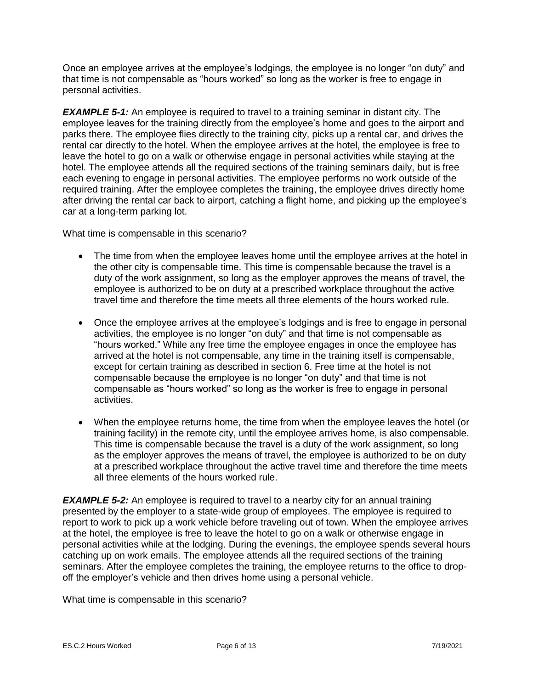Once an employee arrives at the employee's lodgings, the employee is no longer "on duty" and that time is not compensable as "hours worked" so long as the worker is free to engage in personal activities.

*EXAMPLE 5-1:* An employee is required to travel to a training seminar in distant city. The employee leaves for the training directly from the employee's home and goes to the airport and parks there. The employee flies directly to the training city, picks up a rental car, and drives the rental car directly to the hotel. When the employee arrives at the hotel, the employee is free to leave the hotel to go on a walk or otherwise engage in personal activities while staying at the hotel. The employee attends all the required sections of the training seminars daily, but is free each evening to engage in personal activities. The employee performs no work outside of the required training. After the employee completes the training, the employee drives directly home after driving the rental car back to airport, catching a flight home, and picking up the employee's car at a long-term parking lot.

What time is compensable in this scenario?

- The time from when the employee leaves home until the employee arrives at the hotel in the other city is compensable time. This time is compensable because the travel is a duty of the work assignment, so long as the employer approves the means of travel, the employee is authorized to be on duty at a prescribed workplace throughout the active travel time and therefore the time meets all three elements of the hours worked rule.
- Once the employee arrives at the employee's lodgings and is free to engage in personal activities, the employee is no longer "on duty" and that time is not compensable as "hours worked." While any free time the employee engages in once the employee has arrived at the hotel is not compensable, any time in the training itself is compensable, except for certain training as described in section 6. Free time at the hotel is not compensable because the employee is no longer "on duty" and that time is not compensable as "hours worked" so long as the worker is free to engage in personal activities.
- When the employee returns home, the time from when the employee leaves the hotel (or training facility) in the remote city, until the employee arrives home, is also compensable. This time is compensable because the travel is a duty of the work assignment, so long as the employer approves the means of travel, the employee is authorized to be on duty at a prescribed workplace throughout the active travel time and therefore the time meets all three elements of the hours worked rule.

*EXAMPLE 5-2:* An employee is required to travel to a nearby city for an annual training presented by the employer to a state-wide group of employees. The employee is required to report to work to pick up a work vehicle before traveling out of town. When the employee arrives at the hotel, the employee is free to leave the hotel to go on a walk or otherwise engage in personal activities while at the lodging. During the evenings, the employee spends several hours catching up on work emails. The employee attends all the required sections of the training seminars. After the employee completes the training, the employee returns to the office to dropoff the employer's vehicle and then drives home using a personal vehicle.

What time is compensable in this scenario?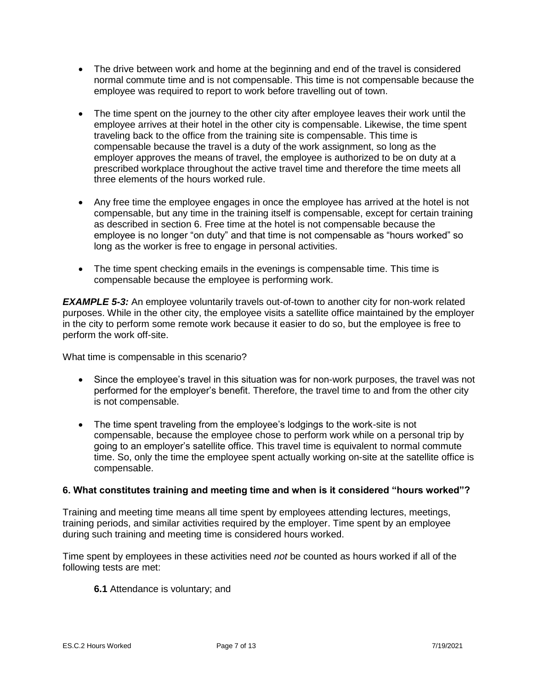- The drive between work and home at the beginning and end of the travel is considered normal commute time and is not compensable. This time is not compensable because the employee was required to report to work before travelling out of town.
- The time spent on the journey to the other city after employee leaves their work until the employee arrives at their hotel in the other city is compensable. Likewise, the time spent traveling back to the office from the training site is compensable. This time is compensable because the travel is a duty of the work assignment, so long as the employer approves the means of travel, the employee is authorized to be on duty at a prescribed workplace throughout the active travel time and therefore the time meets all three elements of the hours worked rule.
- Any free time the employee engages in once the employee has arrived at the hotel is not compensable, but any time in the training itself is compensable, except for certain training as described in section 6. Free time at the hotel is not compensable because the employee is no longer "on duty" and that time is not compensable as "hours worked" so long as the worker is free to engage in personal activities.
- The time spent checking emails in the evenings is compensable time. This time is compensable because the employee is performing work.

*EXAMPLE 5-3:* An employee voluntarily travels out-of-town to another city for non-work related purposes. While in the other city, the employee visits a satellite office maintained by the employer in the city to perform some remote work because it easier to do so, but the employee is free to perform the work off-site.

What time is compensable in this scenario?

- Since the employee's travel in this situation was for non-work purposes, the travel was not performed for the employer's benefit. Therefore, the travel time to and from the other city is not compensable.
- The time spent traveling from the employee's lodgings to the work-site is not compensable, because the employee chose to perform work while on a personal trip by going to an employer's satellite office. This travel time is equivalent to normal commute time. So, only the time the employee spent actually working on-site at the satellite office is compensable.

## **6. What constitutes training and meeting time and when is it considered "hours worked"?**

Training and meeting time means all time spent by employees attending lectures, meetings, training periods, and similar activities required by the employer. Time spent by an employee during such training and meeting time is considered hours worked.

Time spent by employees in these activities need *not* be counted as hours worked if all of the following tests are met:

**6.1** Attendance is voluntary; and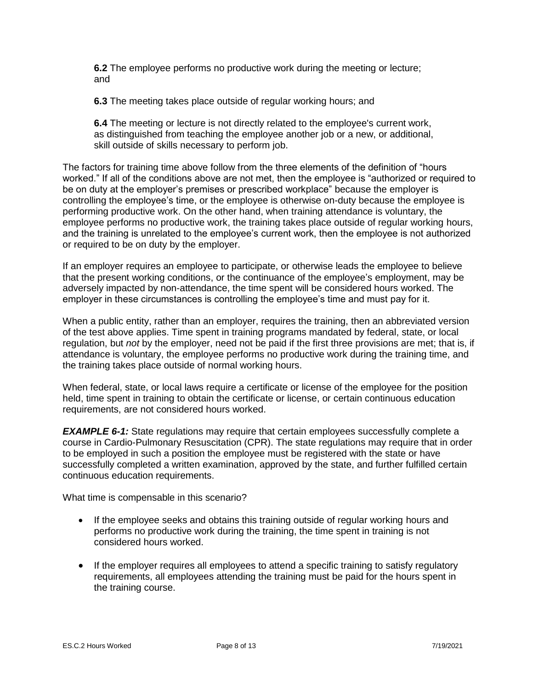**6.2** The employee performs no productive work during the meeting or lecture; and

**6.3** The meeting takes place outside of regular working hours; and

**6.4** The meeting or lecture is not directly related to the employee's current work, as distinguished from teaching the employee another job or a new, or additional, skill outside of skills necessary to perform job.

The factors for training time above follow from the three elements of the definition of "hours worked." If all of the conditions above are not met, then the employee is "authorized or required to be on duty at the employer's premises or prescribed workplace" because the employer is controlling the employee's time, or the employee is otherwise on-duty because the employee is performing productive work. On the other hand, when training attendance is voluntary, the employee performs no productive work, the training takes place outside of regular working hours, and the training is unrelated to the employee's current work, then the employee is not authorized or required to be on duty by the employer.

If an employer requires an employee to participate, or otherwise leads the employee to believe that the present working conditions, or the continuance of the employee's employment, may be adversely impacted by non-attendance, the time spent will be considered hours worked. The employer in these circumstances is controlling the employee's time and must pay for it.

When a public entity, rather than an employer, requires the training, then an abbreviated version of the test above applies. Time spent in training programs mandated by federal, state, or local regulation, but *not* by the employer, need not be paid if the first three provisions are met; that is, if attendance is voluntary, the employee performs no productive work during the training time, and the training takes place outside of normal working hours.

When federal, state, or local laws require a certificate or license of the employee for the position held, time spent in training to obtain the certificate or license, or certain continuous education requirements, are not considered hours worked.

*EXAMPLE 6-1:* State regulations may require that certain employees successfully complete a course in Cardio-Pulmonary Resuscitation (CPR). The state regulations may require that in order to be employed in such a position the employee must be registered with the state or have successfully completed a written examination, approved by the state, and further fulfilled certain continuous education requirements.

What time is compensable in this scenario?

- If the employee seeks and obtains this training outside of regular working hours and performs no productive work during the training, the time spent in training is not considered hours worked.
- If the employer requires all employees to attend a specific training to satisfy regulatory requirements, all employees attending the training must be paid for the hours spent in the training course.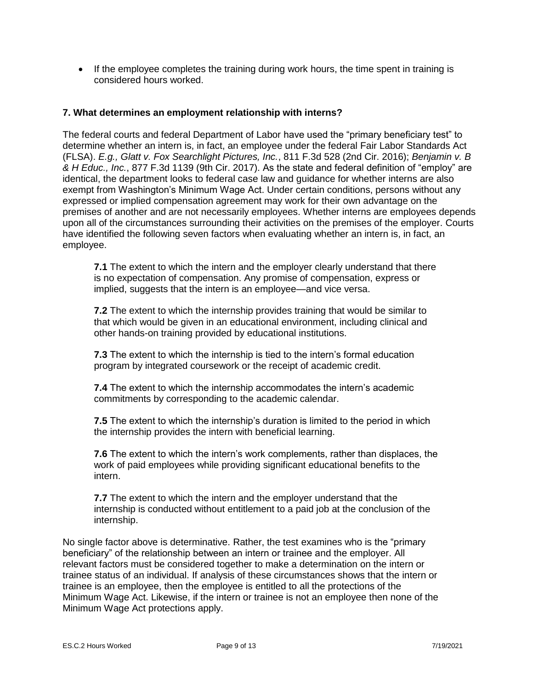• If the employee completes the training during work hours, the time spent in training is considered hours worked.

### **7. What determines an employment relationship with interns?**

The federal courts and federal Department of Labor have used the "primary beneficiary test" to determine whether an intern is, in fact, an employee under the federal Fair Labor Standards Act (FLSA). *E.g., Glatt v. Fox Searchlight Pictures, Inc.*, 811 F.3d 528 (2nd Cir. 2016); *Benjamin v. B & H Educ., Inc.*, 877 F.3d 1139 (9th Cir. 2017). As the state and federal definition of "employ" are identical, the department looks to federal case law and guidance for whether interns are also exempt from Washington's Minimum Wage Act. Under certain conditions, persons without any expressed or implied compensation agreement may work for their own advantage on the premises of another and are not necessarily employees. Whether interns are employees depends upon all of the circumstances surrounding their activities on the premises of the employer. Courts have identified the following seven factors when evaluating whether an intern is, in fact, an employee.

**7.1** The extent to which the intern and the employer clearly understand that there is no expectation of compensation. Any promise of compensation, express or implied, suggests that the intern is an employee—and vice versa.

**7.2** The extent to which the internship provides training that would be similar to that which would be given in an educational environment, including clinical and other hands-on training provided by educational institutions.

**7.3** The extent to which the internship is tied to the intern's formal education program by integrated coursework or the receipt of academic credit.

**7.4** The extent to which the internship accommodates the intern's academic commitments by corresponding to the academic calendar.

**7.5** The extent to which the internship's duration is limited to the period in which the internship provides the intern with beneficial learning.

**7.6** The extent to which the intern's work complements, rather than displaces, the work of paid employees while providing significant educational benefits to the intern.

**7.7** The extent to which the intern and the employer understand that the internship is conducted without entitlement to a paid job at the conclusion of the internship.

No single factor above is determinative. Rather, the test examines who is the "primary beneficiary" of the relationship between an intern or trainee and the employer. All relevant factors must be considered together to make a determination on the intern or trainee status of an individual. If analysis of these circumstances shows that the intern or trainee is an employee, then the employee is entitled to all the protections of the Minimum Wage Act. Likewise, if the intern or trainee is not an employee then none of the Minimum Wage Act protections apply.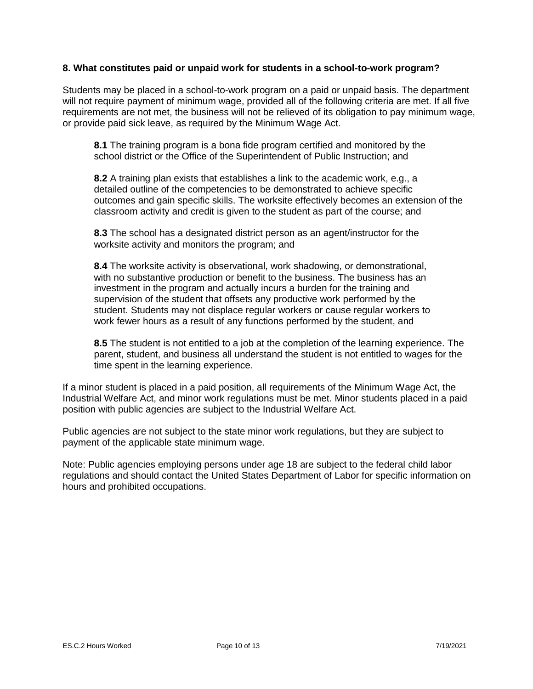## **8. What constitutes paid or unpaid work for students in a school-to-work program?**

Students may be placed in a school-to-work program on a paid or unpaid basis. The department will not require payment of minimum wage, provided all of the following criteria are met. If all five requirements are not met, the business will not be relieved of its obligation to pay minimum wage, or provide paid sick leave, as required by the Minimum Wage Act.

**8.1** The training program is a bona fide program certified and monitored by the school district or the Office of the Superintendent of Public Instruction; and

**8.2** A training plan exists that establishes a link to the academic work, e.g., a detailed outline of the competencies to be demonstrated to achieve specific outcomes and gain specific skills. The worksite effectively becomes an extension of the classroom activity and credit is given to the student as part of the course; and

**8.3** The school has a designated district person as an agent/instructor for the worksite activity and monitors the program; and

**8.4** The worksite activity is observational, work shadowing, or demonstrational, with no substantive production or benefit to the business. The business has an investment in the program and actually incurs a burden for the training and supervision of the student that offsets any productive work performed by the student. Students may not displace regular workers or cause regular workers to work fewer hours as a result of any functions performed by the student, and

**8.5** The student is not entitled to a job at the completion of the learning experience. The parent, student, and business all understand the student is not entitled to wages for the time spent in the learning experience.

If a minor student is placed in a paid position, all requirements of the Minimum Wage Act, the Industrial Welfare Act, and minor work regulations must be met. Minor students placed in a paid position with public agencies are subject to the Industrial Welfare Act.

Public agencies are not subject to the state minor work regulations, but they are subject to payment of the applicable state minimum wage.

Note: Public agencies employing persons under age 18 are subject to the federal child labor regulations and should contact the United States Department of Labor for specific information on hours and prohibited occupations.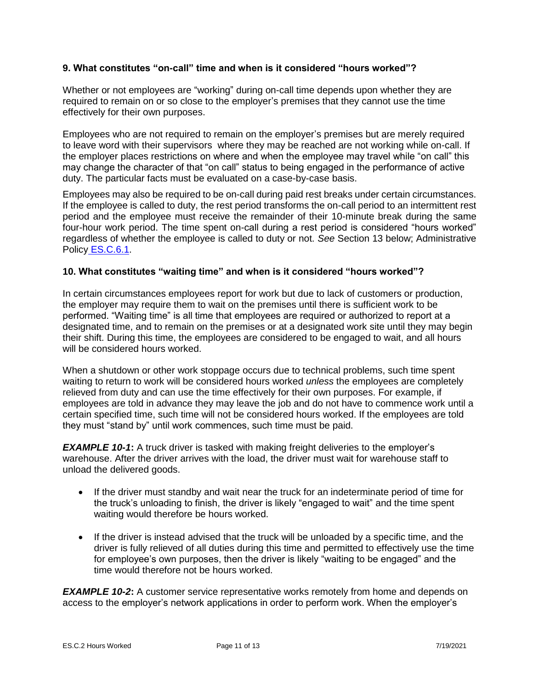## **9. What constitutes "on-call" time and when is it considered "hours worked"?**

Whether or not employees are "working" during on-call time depends upon whether they are required to remain on or so close to the employer's premises that they cannot use the time effectively for their own purposes.

Employees who are not required to remain on the employer's premises but are merely required to leave word with their supervisors where they may be reached are not working while on-call. If the employer places restrictions on where and when the employee may travel while "on call" this may change the character of that "on call" status to being engaged in the performance of active duty. The particular facts must be evaluated on a case-by-case basis.

Employees may also be required to be on-call during paid rest breaks under certain circumstances. If the employee is called to duty, the rest period transforms the on-call period to an intermittent rest period and the employee must receive the remainder of their 10-minute break during the same four-hour work period. The time spent on-call during a rest period is considered "hours worked" regardless of whether the employee is called to duty or not. *See* Section 13 below; [Administrative](https://lni.wa.gov/workers-rights/_docs/esc6.1.pdf)  Policy [ES.C.6.1.](https://lni.wa.gov/workers-rights/_docs/esc6.1.pdf)

## **10. What constitutes "waiting time" and when is it considered "hours worked"?**

In certain circumstances employees report for work but due to lack of customers or production, the employer may require them to wait on the premises until there is sufficient work to be performed. "Waiting time" is all time that employees are required or authorized to report at a designated time, and to remain on the premises or at a designated work site until they may begin their shift. During this time, the employees are considered to be engaged to wait, and all hours will be considered hours worked.

When a shutdown or other work stoppage occurs due to technical problems, such time spent waiting to return to work will be considered hours worked *unless* the employees are completely relieved from duty and can use the time effectively for their own purposes. For example, if employees are told in advance they may leave the job and do not have to commence work until a certain specified time, such time will not be considered hours worked. If the employees are told they must "stand by" until work commences, such time must be paid.

*EXAMPLE 10-1*: A truck driver is tasked with making freight deliveries to the employer's warehouse. After the driver arrives with the load, the driver must wait for warehouse staff to unload the delivered goods.

- If the driver must standby and wait near the truck for an indeterminate period of time for the truck's unloading to finish, the driver is likely "engaged to wait" and the time spent waiting would therefore be hours worked.
- If the driver is instead advised that the truck will be unloaded by a specific time, and the driver is fully relieved of all duties during this time and permitted to effectively use the time for employee's own purposes, then the driver is likely "waiting to be engaged" and the time would therefore not be hours worked.

*EXAMPLE 10-2*: A customer service representative works remotely from home and depends on access to the employer's network applications in order to perform work. When the employer's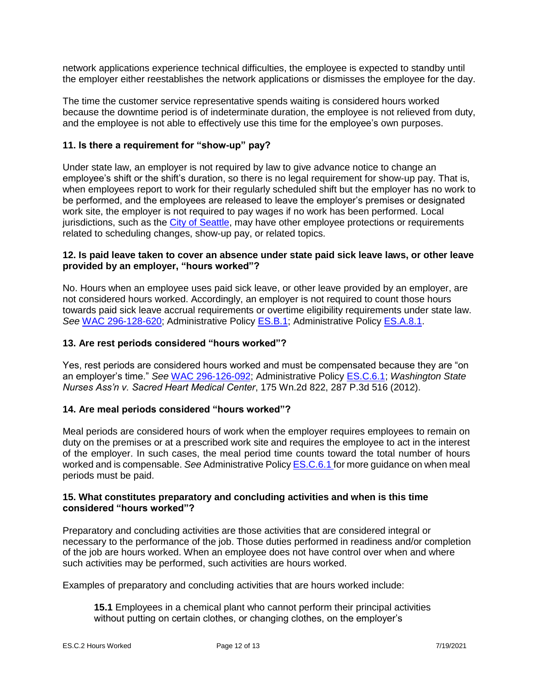network applications experience technical difficulties, the employee is expected to standby until the employer either reestablishes the network applications or dismisses the employee for the day.

The time the customer service representative spends waiting is considered hours worked because the downtime period is of indeterminate duration, the employee is not relieved from duty, and the employee is not able to effectively use this time for the employee's own purposes.

### **11. Is there a requirement for "show-up" pay?**

Under state law, an employer is not required by law to give advance notice to change an employee's shift or the shift's duration, so there is no legal requirement for show-up pay. That is, when employees report to work for their regularly scheduled shift but the employer has no work to be performed, and the employees are released to leave the employer's premises or designated work site, the employer is not required to pay wages if no work has been performed. Local jurisdictions, such as the [City of Seattle,](https://www.seattle.gov/laborstandards) may have other employee protections or requirements related to scheduling changes, show-up pay, or related topics.

#### **12. Is paid leave taken to cover an absence under state paid sick leave laws, or other leave provided by an employer, "hours worked"?**

No. Hours when an employee uses paid sick leave, or other leave provided by an employer, are not considered hours worked. Accordingly, an employer is not required to count those hours towards paid sick leave accrual requirements or overtime eligibility requirements under state law. *See* [WAC 296-128-620;](https://app.leg.wa.gov/wac/default.aspx?cite=296-128-620) [Administrative Policy ES.B.1;](https://www.lni.wa.gov/workers-rights/_docs/esb1.pdf) [Administrative Policy ES.A.8.1.](https://www.lni.wa.gov/workers-rights/_docs/esa8.1.pdf)

#### **13. Are rest periods considered "hours worked"?**

Yes, rest periods are considered hours worked and must be compensated because they are "on an employer's time." *See* [WAC 296-126-092;](https://app.leg.wa.gov/wac/default.aspx?cite=296-126-092) [Administrative Policy ES.C.6.1;](https://lni.wa.gov/workers-rights/_docs/esc6.1.pdf) *Washington State Nurses Ass'n v. Sacred Heart Medical Center*, 175 Wn.2d 822, 287 P.3d 516 (2012).

#### **14. Are meal periods considered "hours worked"?**

Meal periods are considered hours of work when the employer requires employees to remain on duty on the premises or at a prescribed work site and requires the employee to act in the interest of the employer. In such cases, the meal period time counts toward the total number of hours worked and is compensable. *See* [Administrative Policy ES.C.6.1](https://lni.wa.gov/workers-rights/_docs/esc6.1.pdf) for more guidance on when meal periods must be paid.

## **15. What constitutes preparatory and concluding activities and when is this time considered "hours worked"?**

Preparatory and concluding activities are those activities that are considered integral or necessary to the performance of the job. Those duties performed in readiness and/or completion of the job are hours worked. When an employee does not have control over when and where such activities may be performed, such activities are hours worked.

Examples of preparatory and concluding activities that are hours worked include:

**15.1** Employees in a chemical plant who cannot perform their principal activities without putting on certain clothes, or changing clothes, on the employer's